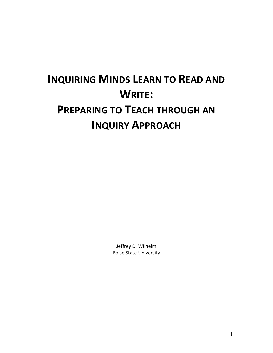# **INQUIRING MINDS LEARN TO READ AND WRITE: PREPARING TO TEACH THROUGH AN INQUIRY APPROACH**

Jeffrey D. Wilhelm Boise State University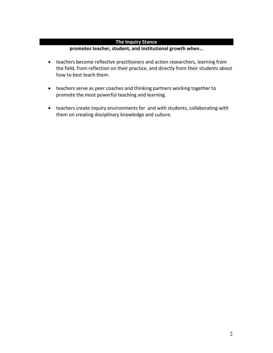# **The Inquiry Stance**

# **promotes teacher, student, and institutional growth when…**

- teachers become reflective practitioners and action researchers, learning from the field, from reflection on their practice, and directly from their students about how to best teach them.
- teachers serve as peer coaches and thinking partners working together to promote the most powerful teaching and learning.
- teachers create inquiry environments for and with students, collaborating with them on creating disciplinary knowledge and culture.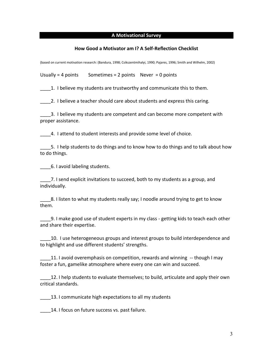#### **A Motivational Survey**

#### **How Good a Motivator am I? A Self-Reflection Checklist**

(based on current motivation research: (Bandura, 1998; Csikszentmihalyi, 1990; Pajares, 1996; Smith and Wilhelm, 2002)

Usually = 4 points Sometimes =  $2$  points Never = 0 points

1. I believe my students are trustworthy and communicate this to them.

\_\_\_\_2. I believe a teacher should care about students and express this caring.

\_\_\_\_3. I believe my students are competent and can become more competent with proper assistance.

4. I attend to student interests and provide some level of choice.

5. I help students to do things and to know how to do things and to talk about how to do things.

\_\_\_\_6. I avoid labeling students.

\_\_\_\_7. I send explicit invitations to succeed, both to my students as a group, and individually.

8. I listen to what my students really say; I noodle around trying to get to know them.

\_\_\_\_9. I make good use of student experts in my class - getting kids to teach each other and share their expertise.

\_\_\_\_10. I use heterogeneous groups and interest groups to build interdependence and to highlight and use different students' strengths.

\_\_\_\_11. I avoid overemphasis on competition, rewards and winning -- though I may foster a fun, gamelike atmosphere where every one can win and succeed.

\_\_\_\_12. I help students to evaluate themselves; to build, articulate and apply their own critical standards.

13. I communicate high expectations to all my students

14. I focus on future success vs. past failure.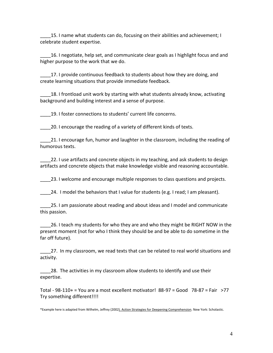\_\_\_\_15. I name what students can do, focusing on their abilities and achievement; I celebrate student expertise.

\_\_\_\_16. I negotiate, help set, and communicate clear goals as I highlight focus and and higher purpose to the work that we do.

17. I provide continuous feedback to students about how they are doing, and create learning situations that provide immediate feedback.

18. I frontload unit work by starting with what students already know, activating background and building interest and a sense of purpose.

\_\_\_\_19. I foster connections to students' current life concerns.

\_\_\_\_20. I encourage the reading of a variety of different kinds of texts.

\_\_\_\_21. I encourage fun, humor and laughter in the classroom, including the reading of humorous texts.

22. I use artifacts and concrete objects in my teaching, and ask students to design artifacts and concrete objects that make knowledge visible and reasoning accountable.

\_\_\_\_23. I welcome and encourage multiple responses to class questions and projects.

24. I model the behaviors that I value for students (e.g. I read; I am pleasant).

\_\_\_\_25. I am passionate about reading and about ideas and I model and communicate this passion.

\_\_\_\_26. I teach my students for who they are and who they might be RIGHT NOW in the present moment (not for who I think they should be and be able to do sometime in the far off future).

27. In my classroom, we read texts that can be related to real world situations and activity.

28. The activities in my classroom allow students to identify and use their expertise.

Total - 98-110+ = You are a most excellent motivator! 88-97 = Good 78-87 = Fair >77 Try something different!!!!

\*Example here is adapted from Wilhelm, Jeffrey (2002). Action Strategies for Deepening Comprehension. New York: Scholastic.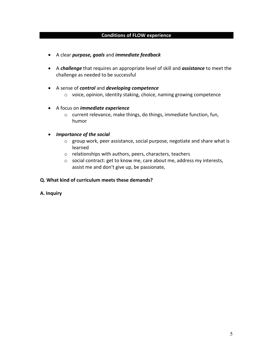#### **Conditions of FLOW experience**

- A clear *purpose, goals* and *immediate feedback*
- A *challenge* that requires an appropriate level of skill and *assistance* to meet the challenge as needed to be successful
- A sense of *control* and *developing competence* o voice, opinion, identity staking, choice, naming growing competence
- A focus on *immediate experience*
	- o current relevance, make things, do things, immediate function, fun, humor
- *Importance of the social*
	- o group work, peer assistance, social purpose, negotiate and share what is learned
	- o relationships with authors, peers, characters, teachers
	- o social contract: get to know me, care about me, address my interests, assist me and don't give up, be passionate,

#### **Q. What kind of curriculum meets these demands?**

#### **A. Inquiry**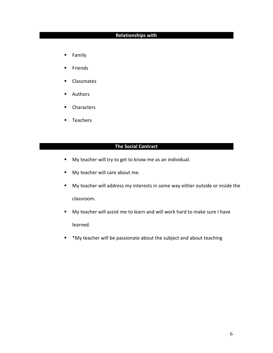# **Relationships with**

- **Family**
- **Friends**
- **Classmates**
- **Authors**
- **Characters**
- **Teachers**

# **The Social Contract**

- **My teacher will try to get to know me as an individual.**
- My teacher will care about me.
- My teacher will address my interests in some way either outside or inside the classroom.
- My teacher will assist me to learn and will work hard to make sure I have learned.
- \* \*My teacher will be passionate about the subject and about teaching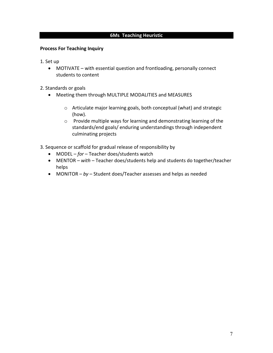#### **6Ms Teaching Heuristic**

#### **Process For Teaching Inquiry**

- 1. Set up
	- MOTIVATE with essential question and frontloading, personally connect students to content
- 2. Standards or goals
	- Meeting them through MULTIPLE MODALITIES and MEASURES
		- o Articulate major learning goals, both conceptual (what) and strategic (how).
		- o Provide multiple ways for learning and demonstrating learning of the standards/end goals/ enduring understandings through independent culminating projects
- 3. Sequence or scaffold for gradual release of responsibility by
	- MODEL *for* Teacher does/students watch
	- MENTOR *with*  Teacher does/students help and students do together/teacher helps
	- MONITOR *by* Student does/Teacher assesses and helps as needed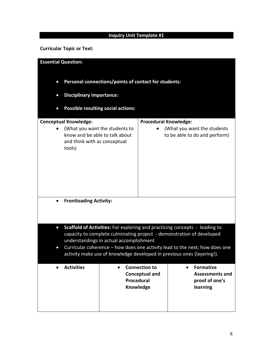# **Inquiry Unit Template #1**

**Curricular Topic or Text:**

| <b>Essential Question:</b>                                                                                                                                                                                                                                                                                                                                                        |                                                                                                                                            |                   |                                                            |                                                                          |  |  |  |
|-----------------------------------------------------------------------------------------------------------------------------------------------------------------------------------------------------------------------------------------------------------------------------------------------------------------------------------------------------------------------------------|--------------------------------------------------------------------------------------------------------------------------------------------|-------------------|------------------------------------------------------------|--------------------------------------------------------------------------|--|--|--|
| $\bullet$                                                                                                                                                                                                                                                                                                                                                                         | Personal connections/points of contact for students:                                                                                       |                   |                                                            |                                                                          |  |  |  |
| $\bullet$                                                                                                                                                                                                                                                                                                                                                                         | <b>Disciplinary importance:</b>                                                                                                            |                   |                                                            |                                                                          |  |  |  |
| $\bullet$                                                                                                                                                                                                                                                                                                                                                                         | <b>Possible resulting social actions:</b>                                                                                                  |                   |                                                            |                                                                          |  |  |  |
|                                                                                                                                                                                                                                                                                                                                                                                   | <b>Conceptual Knowledge:</b><br>(What you want the students to<br>know and be able to talk about<br>and think with as conceptual<br>tools) |                   | <b>Procedural Knowledge:</b>                               | (What you want the students<br>to be able to do and perform)             |  |  |  |
| $\bullet$                                                                                                                                                                                                                                                                                                                                                                         | <b>Frontloading Activity:</b>                                                                                                              |                   |                                                            |                                                                          |  |  |  |
| Scaffold of Activities: For exploring and practicing concepts - leading to<br>$\bullet$<br>capacity to complete culminating project - demonstration of developed<br>understandings in actual accomplishment<br>Curricular coherence - how does one activity lead to the next; how does one<br>$\bullet$<br>activity make use of knowledge developed in previous ones (layering!). |                                                                                                                                            |                   |                                                            |                                                                          |  |  |  |
|                                                                                                                                                                                                                                                                                                                                                                                   | <b>Activities</b>                                                                                                                          | <b>Procedural</b> | <b>Connection to</b><br><b>Conceptual and</b><br>Knowledge | <b>Formative</b><br><b>Assessments and</b><br>proof of one's<br>learning |  |  |  |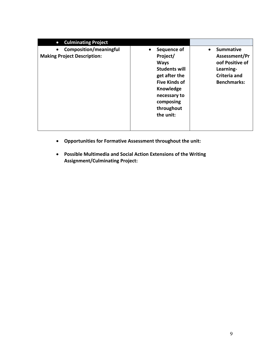| <b>Culminating Project</b><br>$\bullet$                             |                                                                                                                                                                              |                                                                                                                             |
|---------------------------------------------------------------------|------------------------------------------------------------------------------------------------------------------------------------------------------------------------------|-----------------------------------------------------------------------------------------------------------------------------|
| <b>Composition/meaningful</b><br><b>Making Project Description:</b> | Sequence of<br>Project/<br><b>Ways</b><br><b>Students will</b><br>get after the<br><b>Five Kinds of</b><br>Knowledge<br>necessary to<br>composing<br>throughout<br>the unit: | <b>Summative</b><br>$\bullet$<br>Assessment/Pr<br>oof Positive of<br>Learning-<br><b>Criteria and</b><br><b>Benchmarks:</b> |

- **Opportunities for Formative Assessment throughout the unit:**
- **Possible Multimedia and Social Action Extensions of the Writing Assignment/Culminating Project:**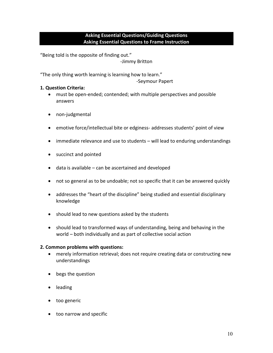# **Asking Essential Questions/Guiding Questions Asking Essential Questions to Frame Instruction**

"Being told is the opposite of finding out." -Jimmy Britton

"The only thing worth learning is learning how to learn."

-Seymour Papert

## **1. Question Criteria:**

- must be open-ended; contended; with multiple perspectives and possible answers
- non-judgmental
- emotive force/intellectual bite or edginess- addresses students' point of view
- immediate relevance and use to students will lead to enduring understandings
- succinct and pointed
- data is available can be ascertained and developed
- not so general as to be undoable; not so specific that it can be answered quickly
- addresses the "heart of the discipline" being studied and essential disciplinary knowledge
- should lead to new questions asked by the students
- should lead to transformed ways of understanding, being and behaving in the world – both individually and as part of collective social action

# **2. Common problems with questions:**

- merely information retrieval; does not require creating data or constructing new understandings
- begs the question
- leading
- too generic
- too narrow and specific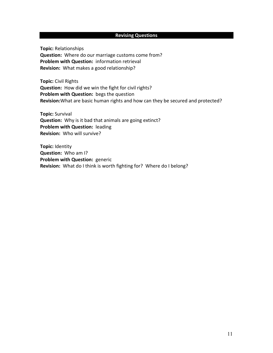# **Revising Questions**

**Topic:** Relationships **Question:** Where do our marriage customs come from? **Problem with Question:** information retrieval **Revision:** What makes a good relationship?

**Topic:** Civil Rights **Question:** How did we win the fight for civil rights? **Problem with Question:** begs the question **Revision:**What are basic human rights and how can they be secured and protected?

**Topic:** Survival **Question:** Why is it bad that animals are going extinct? **Problem with Question:** leading **Revision:** Who will survive?

**Topic:** Identity **Question:** Who am I? **Problem with Question:** generic **Revision:** What do I think is worth fighting for?Where do I belong?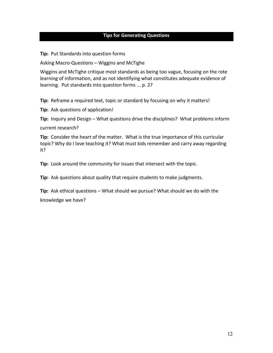## **Tips for Generating Questions**

**Tip:** Put Standards into question forms

Asking Macro-Questions – Wiggins and McTighe

Wiggins and McTighe critique most standards as being too vague, focusing on the rote learning of information, and as not identifying what constitutes adequate evidence of learning. Put standards into question forms ... p. 27

**Tip:** Reframe a required text, topic or standard by focusing on why it matters!

**Tip:** Ask questions of application!

**Tip:** Inquiry and Design – What questions drive the disciplines? What problems inform

current research?

**Tip:** Consider the heart of the matter. What is the true importance of this curricular topic? Why do I love teaching it? What must kids remember and carry away regarding it?

**Tip:** Look around the community for issues that intersect with the topic.

**Tip:** Ask questions about quality that require students to make judgments.

**Tip:** Ask ethical questions – What should we pursue? What should we do with the knowledge we have?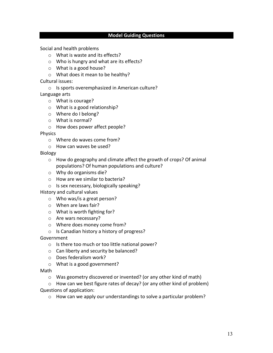#### **Model Guiding Questions**

Social and health problems

- o What is waste and its effects?
- o Who is hungry and what are its effects?
- o What is a good house?
- o What does it mean to be healthy?

Cultural issues:

o Is sports overemphasized in American culture?

Language arts

- o What is courage?
- o What is a good relationship?
- o Where do I belong?
- o What is normal?
- o How does power affect people?

Physics

- o Where do waves come from?
- o How can waves be used?

Biology

- o How do geography and climate affect the growth of crops? Of animal populations? Of human populations and culture?
- o Why do organisms die?
- o How are we similar to bacteria?
- o Is sex necessary, biologically speaking?

History and cultural values

- o Who was/is a great person?
- o When are laws fair?
- o What is worth fighting for?
- o Are wars necessary?
- o Where does money come from?
- o Is Canadian history a history of progress?

**Government** 

- o Is there too much or too little national power?
- o Can liberty and security be balanced?
- o Does federalism work?
- o What is a good government?
- Math
	- o Was geometry discovered or invented? (or any other kind of math)

o How can we best figure rates of decay? (or any other kind of problem) Questions of application:

o How can we apply our understandings to solve a particular problem?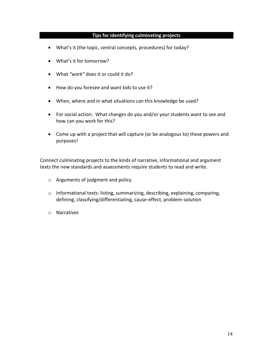# **Tips for identifying culminating projects**

- What's it (the topic, central concepts, procedures) for today?
- What's it for tomorrow?
- What *"work"* does it or could it do?
- How do you foresee and want kids to use it?
- When, where and in what situations can this knowledge be used?
- For social action: What changes do you and/or your students want to see and how can you work for this?
- Come up with a project that will capture (or be analogous to) these powers and purposes!

Connect culminating projects to the kinds of narrative, informational and argument texts the new standards and assessments require students to read and write.

- o Arguments of judgment and policy
- o Informational texts: listing, summarizing, describing, explaining, comparing, defining, classifying/differentiating, cause-effect, problem-solution
- o Narratives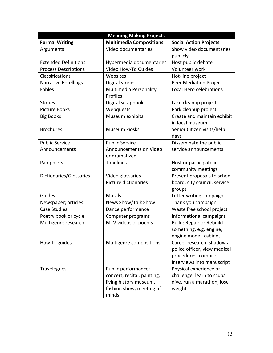| <b>Meaning Making Projects</b> |                                    |                                                |  |  |  |  |  |
|--------------------------------|------------------------------------|------------------------------------------------|--|--|--|--|--|
| <b>Formal Writing</b>          | <b>Multimedia Compositions</b>     | <b>Social Action Projects</b>                  |  |  |  |  |  |
| Arguments                      | Video documentaries                | Show video documentaries                       |  |  |  |  |  |
|                                |                                    | publicly                                       |  |  |  |  |  |
| <b>Extended Definitions</b>    | Hypermedia documentaries           | Host public debate                             |  |  |  |  |  |
| <b>Process Descriptions</b>    | Video How-To Guides                | Volunteer work                                 |  |  |  |  |  |
| Classifications                | Websites                           | Hot-line project                               |  |  |  |  |  |
| <b>Narrative Retellings</b>    | Digital stories                    | <b>Peer Mediation Project</b>                  |  |  |  |  |  |
| Fables                         | Multimedia Personality<br>Profiles | Local Hero celebrations                        |  |  |  |  |  |
| <b>Stories</b>                 | Digital scrapbooks                 | Lake cleanup project                           |  |  |  |  |  |
| <b>Picture Books</b>           | Webquests                          | Park cleanup project                           |  |  |  |  |  |
| <b>Big Books</b>               | Museum exhibits                    | Create and maintain exhibit<br>in local museum |  |  |  |  |  |
| <b>Brochures</b>               | Museum kiosks                      | Senior Citizen visits/help<br>days             |  |  |  |  |  |
| <b>Public Service</b>          | <b>Public Service</b>              | Disseminate the public                         |  |  |  |  |  |
| Announcements                  | Announcements on Video             | service announcements                          |  |  |  |  |  |
|                                | or dramatized                      |                                                |  |  |  |  |  |
| Pamphlets                      | Timelines                          | Host or participate in                         |  |  |  |  |  |
|                                |                                    | community meetings                             |  |  |  |  |  |
| Dictionaries/Glossaries        | Video glossaries                   | Present proposals to school                    |  |  |  |  |  |
|                                | Picture dictionaries               | board, city council, service                   |  |  |  |  |  |
|                                |                                    | groups                                         |  |  |  |  |  |
| Guides                         | <b>Murals</b>                      | Letter writing campaign                        |  |  |  |  |  |
| Newspaper; articles            | News Show/Talk Show                | Thank you campaign                             |  |  |  |  |  |
| <b>Case Studies</b>            | Dance performance                  | Waste free school project                      |  |  |  |  |  |
| Poetry book or cycle           | Computer programs                  | Informational campaigns                        |  |  |  |  |  |
| Multigenre research            | MTV videos of poems                | <b>Build: Repair or Rebuild</b>                |  |  |  |  |  |
|                                |                                    | something, e.g. engine;                        |  |  |  |  |  |
|                                |                                    | engine model, cabinet                          |  |  |  |  |  |
| How-to guides                  | Multigenre compositions            | Career research: shadow a                      |  |  |  |  |  |
|                                |                                    | police officer, view medical                   |  |  |  |  |  |
|                                |                                    | procedures, compile                            |  |  |  |  |  |
|                                |                                    | interviews into manuscript                     |  |  |  |  |  |
| Travelogues                    | Public performance:                | Physical experience or                         |  |  |  |  |  |
|                                | concert, recital, painting,        | challenge: learn to scuba                      |  |  |  |  |  |
|                                | living history museum,             | dive, run a marathon, lose                     |  |  |  |  |  |
|                                | fashion show, meeting of           | weight                                         |  |  |  |  |  |
|                                | minds                              |                                                |  |  |  |  |  |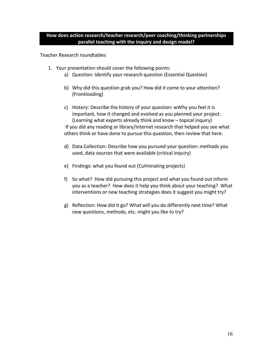Teacher Research roundtables

- 1. Your presentation should cover the following points:
	- a) Question: Identify your research question (Essential Question)
	- b) Why did this question grab you? How did it come to your attention? (Frontloading)
	- c) History: Describe the history of your question: wWhy you feel it is important, how it changed and evolved as you planned your project. (Learning what experts already think and know – topical inquiry) If you did any reading or library/Internet research that helped you see what others think or have done to pursue this question, then review that here.
	- d) Data Collection: Describe how you pursued your question: methods you used, data sources that were available (critical inquiry)
	- e) Findings: what you found out (Culminating projects)
	- f) So what? How did pursuing this project and what you found out inform you as a teacher? How does it help you think about your teaching? What interventions or new teaching strategies does it suggest you might try?
	- g) Reflection: How did it go? What will you do differently next time? What new questions, methods, etc. might you like to try?